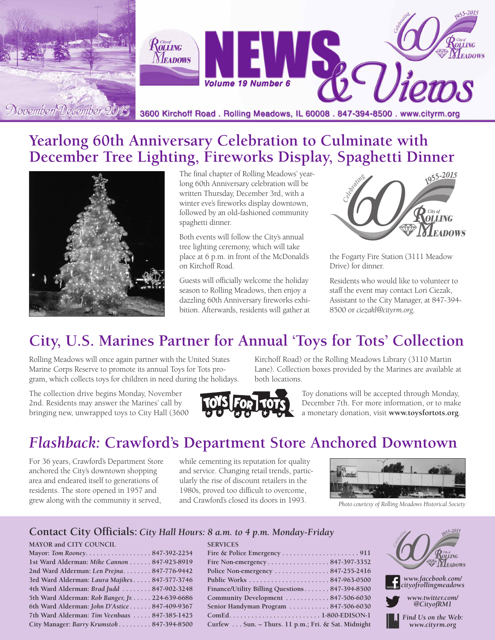

## **Yearlong 60th Anniversary Celebration to Culminate with December Tree Lighting, Fireworks Display, Spaghetti Dinner**



The final chapter of Rolling Meadows' yearlong 60th Anniversary celebration will be written Thursday, December 3rd, with a winter eve's fireworks display downtown, followed by an old-fashioned community spaghetti dinner.

Both events will follow the City's annual tree lighting ceremony, which will take place at 6 p.m. in front of the McDonald's on Kirchoff Road.

Guests will officially welcome the holiday season to Rolling Meadows, then enjoy a dazzling 60th Anniversary fireworks exhibition. Afterwards, residents will gather at



the Fogarty Fire Station (3111 Meadow Drive) for dinner.

Residents who would like to volunteer to staff the event may contact Lori Ciezak, Assistant to the City Manager, at 847-394- 8500 or *ciezakl@cityrm.org*.

# **City, U.S. Marines Partner for Annual 'Toys for Tots' Collection**

Rolling Meadows will once again partner with the United States Marine Corps Reserve to promote its annual Toys for Tots program, which collects toys for children in need during the holidays.

The collection drive begins Monday, November 2nd. Residents may answer the Marines' call by bringing new, unwrapped toys to City Hall (3600



Kirchoff Road) or the Rolling Meadows Library (3110 Martin Lane). Collection boxes provided by the Marines are available at both locations.

> Toy donations will be accepted through Monday, December 7th. For more information, or to make a monetary donation, visit **www.toysfortots.org**.

# *Flashback:* **Crawford's Department Store Anchored Downtown**

For 36 years, Crawford's Department Store anchored the City's downtown shopping area and endeared itself to generations of residents. The store opened in 1957 and grew along with the community it served,

while cementing its reputation for quality and service. Changing retail trends, particularly the rise of discount retailers in the 1980s, proved too difficult to overcome, and Crawford's closed its doors in 1993. *Photo courtesy of Rolling Meadows Historical Society*

**SERVICES**



#### **Contact City Officials:** *City Hall Hours: 8 a.m. to 4 p.m. Monday-Friday*

#### **MAYOR and CITY COUNCIL**

| Mayor: Tom Rooney847-392-2254                   |  |
|-------------------------------------------------|--|
| 1st Ward Alderman: Mike Cannon 847-925-8919     |  |
| 2nd Ward Alderman: Len Prejna 847-776-9442      |  |
| 3rd Ward Alderman: Laura Majikes 847-577-3746   |  |
| 4th Ward Alderman: Brad Judd  847-902-3248      |  |
| 5th Ward Alderman: Rob Banger, Jr. 224-639-6686 |  |
| 6th Ward Alderman: John D'Astice 847-409-9367   |  |
| 7th Ward Alderman: Tim Veenbaas  847-385-1425   |  |
| City Manager: Barry Krumstok 847-394-8500       |  |
|                                                 |  |

| Fire Non-emergency847-397-3352                     |  |
|----------------------------------------------------|--|
| Police Non-emergency 847-255-2416                  |  |
|                                                    |  |
| Finance/Utility Billing Questions 847-394-8500     |  |
| Community Development 847-506-6030                 |  |
| Senior Handyman Program 847-506-6030               |  |
|                                                    |  |
| Curfew Sun. – Thurs. 11 p.m.; Fri. & Sat. Midnight |  |
|                                                    |  |



*www.twitter.com/ @CityofRM1*

*Find Us on the Web: www.cityrm.org*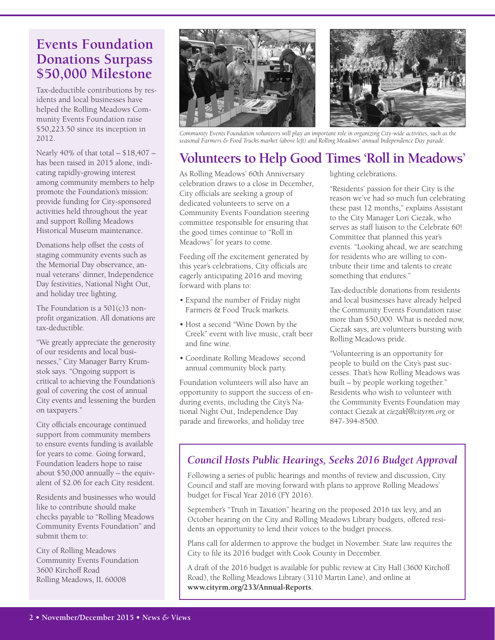#### **Events Foundation Donations Surpass \$50,000 Milestone**

Tax-deductible contributions by residents and local businesses have helped the Rolling Meadows Community Events Foundation raise \$50,223.50 since its inception in 2012.

Nearly 40% of that total – \$18,407 – has been raised in 2015 alone, indicating rapidly-growing interest among community members to help promote the Foundation's mission: provide funding for City-sponsored activities held throughout the year and support Rolling Meadows Historical Museum maintenance.

Donations help offset the costs of staging community events such as the Memorial Day observance, annual veterans' dinner, Independence Day festivities, National Night Out, and holiday tree lighting.

The Foundation is a 501(c)3 nonprofit organization. All donations are tax-deductible.

"We greatly appreciate the generosity of our residents and local businesses," City Manager Barry Krumstok says. "Ongoing support is critical to achieving the Foundation's goal of covering the cost of annual City events and lessening the burden on taxpayers."

City officials encourage continued support from community members to ensure events funding is available for years to come. Going forward, Foundation leaders hope to raise about \$50,000 annually – the equivalent of \$2.06 for each City resident.

Residents and businesses who would like to contribute should make checks payable to "Rolling Meadows Community Events Foundation" and submit them to:

City of Rolling Meadows Community Events Foundation 3600 Kirchoff Road Rolling Meadows, IL 60008



Community Events Foundation volunteers will play an important role in organizing City-wide activities, such as the *seasonal Farmers & Food Trucks market (above left) and Rolling Meadows' annual Independence Day parade.*

# **Volunteers to Help Good Times 'Roll in Meadows'**

As Rolling Meadows' 60th Anniversary celebration draws to a close in December, City officials are seeking a group of dedicated volunteers to serve on a Community Events Foundation steering committee responsible for ensuring that the good times continue to "Roll in Meadows" for years to come.

Feeding off the excitement generated by this year's celebrations, City officials are eagerly anticipating 2016 and moving forward with plans to:

- Expand the number of Friday night Farmers & Food Truck markets.
- Host a second "Wine Down by the Creek" event with live music, craft beer and fine wine.
- Coordinate Rolling Meadows' second annual community block party.

Foundation volunteers will also have an opportunity to support the success of enduring events, including the City's National Night Out, Independence Day parade and fireworks, and holiday tree

lighting celebrations.

"Residents' passion for their City is the reason we've had so much fun celebrating these past 12 months," explains Assistant to the City Manager Lori Ciezak, who serves as staff liaison to the Celebrate 60! Committee that planned this year's events. "Looking ahead, we are searching for residents who are willing to contribute their time and talents to create something that endures."

Tax-deductible donations from residents and local businesses have already helped the Community Events Foundation raise more than \$50,000. What is needed now, Ciezak says, are volunteers bursting with Rolling Meadows pride.

"Volunteering is an opportunity for people to build on the City's past successes. That's how Rolling Meadows was built – by people working together." Residents who wish to volunteer with the Community Events Foundation may contact Ciezak at *ciezakl@cityrm.org* or 847-394-8500.

#### *Council Hosts Public Hearings, Seeks 2016 Budget Approval*

Following a series of public hearings and months of review and discussion, City Council and staff are moving forward with plans to approve Rolling Meadows' budget for Fiscal Year 2016 (FY 2016).

September's "Truth in Taxation" hearing on the proposed 2016 tax levy, and an October hearing on the City and Rolling Meadows Library budgets, offered residents an opportunity to lend their voices to the budget process.

Plans call for aldermen to approve the budget in November. State law requires the City to file its 2016 budget with Cook County in December.

A draft of the 2016 budget is available for public review at City Hall (3600 Kirchoff Road), the Rolling Meadows Library (3110 Martin Lane), and online at **www.cityrm.org/233/Annual-Reports**.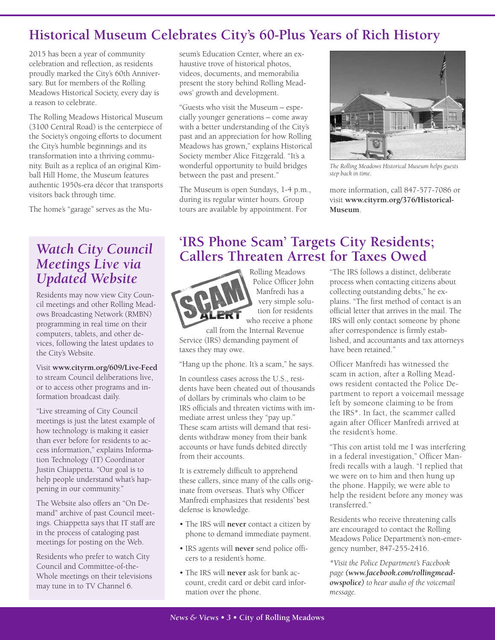#### **Historical Museum Celebrates City's 60-Plus Years of Rich History**

2015 has been a year of community celebration and reflection, as residents proudly marked the City's 60th Anniversary. But for members of the Rolling Meadows Historical Society, every day is a reason to celebrate.

The Rolling Meadows Historical Museum (3100 Central Road) is the centerpiece of the Society's ongoing efforts to document the City's humble beginnings and its transformation into a thriving community. Built as a replica of an original Kimball Hill Home, the Museum features authentic 1950s-era décor that transports visitors back through time.

The home's "garage" serves as the Mu-

#### *Watch City Council Meetings Live via Updated Website*

Residents may now view City Council meetings and other Rolling Meadows Broadcasting Network (RMBN) programming in real time on their computers, tablets, and other devices, following the latest updates to the City's Website.

Visit **www.cityrm.org/609/Live-Feed** to stream Council deliberations live, or to access other programs and information broadcast daily.

"Live streaming of City Council meetings is just the latest example of how technology is making it easier than ever before for residents to access information," explains Information Technology (IT) Coordinator Justin Chiappetta. "Our goal is to help people understand what's happening in our community."

The Website also offers an "On Demand" archive of past Council meetings. Chiappetta says that IT staff are in the process of cataloging past meetings for posting on the Web.

Residents who prefer to watch City Council and Committee-of-the-Whole meetings on their televisions may tune in to TV Channel 6.

seum's Education Center, where an exhaustive trove of historical photos, videos, documents, and memorabilia present the story behind Rolling Meadows' growth and development.

"Guests who visit the Museum – especially younger generations – come away with a better understanding of the City's past and an appreciation for how Rolling Meadows has grown," explains Historical Society member Alice Fitzgerald. "It's a wonderful opportunity to build bridges between the past and present."

The Museum is open Sundays, 1-4 p.m., during its regular winter hours. Group tours are available by appointment. For



*The Rolling Meadows Historical Museum helps guests step back in time.*

more information, call 847-577-7086 or visit **www.cityrm.org/376/Historical-Museum**.

#### **'IRS Phone Scam' Targets City Residents; Callers Threaten Arrest for Taxes Owed**



Rolling Meadows Police Officer John Manfredi has a very simple solution for residents who receive a phone

call from the Internal Revenue Service (IRS) demanding payment of taxes they may owe.

"Hang up the phone. It's a scam," he says.

In countless cases across the U.S., residents have been cheated out of thousands of dollars by criminals who claim to be IRS officials and threaten victims with immediate arrest unless they "pay up." These scam artists will demand that residents withdraw money from their bank accounts or have funds debited directly from their accounts.

It is extremely difficult to apprehend these callers, since many of the calls originate from overseas. That's why Officer Manfredi emphasizes that residents' best defense is knowledge.

- The IRS will **never** contact a citizen by phone to demand immediate payment.
- IRS agents will **never** send police officers to a resident's home.
- The IRS will **never** ask for bank account, credit card or debit card information over the phone.

"The IRS follows a distinct, deliberate process when contacting citizens about collecting outstanding debts," he explains. "The first method of contact is an official letter that arrives in the mail. The IRS will only contact someone by phone after correspondence is firmly established, and accountants and tax attorneys have been retained."

Officer Manfredi has witnessed the scam in action, after a Rolling Meadows resident contacted the Police Department to report a voicemail message left by someone claiming to be from the IRS\*. In fact, the scammer called again after Officer Manfredi arrived at the resident's home.

"This con artist told me I was interfering in a federal investigation," Officer Manfredi recalls with a laugh. "I replied that we were on to him and then hung up the phone. Happily, we were able to help the resident before any money was transferred<sup>"</sup>

Residents who receive threatening calls are encouraged to contact the Rolling Meadows Police Department's non-emergency number, 847-255-2416.

*\*Visit the Police Department's Facebook page (www.facebook.com/rollingmeadowspolice) to hear audio of the voicemail message.*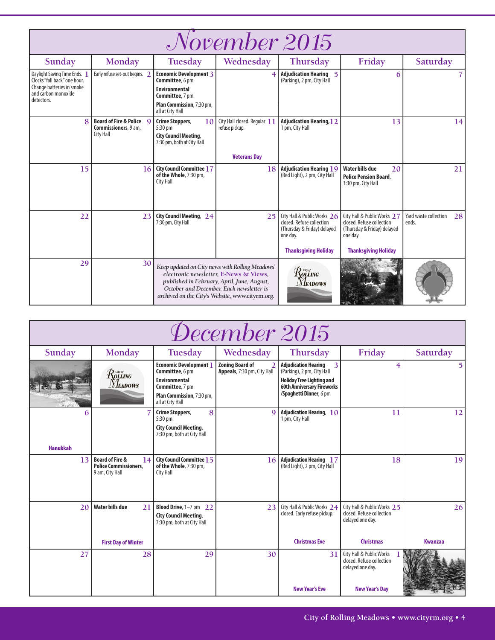| <i>November 2015</i>                                                                                                         |                                                  |                                                                         |                                                                                                                                                                                                                                         |                                                                                                     |                                                                                                     |                                      |  |  |
|------------------------------------------------------------------------------------------------------------------------------|--------------------------------------------------|-------------------------------------------------------------------------|-----------------------------------------------------------------------------------------------------------------------------------------------------------------------------------------------------------------------------------------|-----------------------------------------------------------------------------------------------------|-----------------------------------------------------------------------------------------------------|--------------------------------------|--|--|
| Sunday                                                                                                                       | Monday                                           | Tuesday                                                                 | Wednesday                                                                                                                                                                                                                               | Thursday                                                                                            | Friday                                                                                              | Saturday                             |  |  |
| Daylight Saving Time Ends.<br>Clocks "fall back" one hour.<br>Change batteries in smoke<br>and carbon monoxide<br>detectors. | Early refuse set-out begins. 2                   | <b>Economic Development 3</b><br>Committee, 6 pm                        |                                                                                                                                                                                                                                         | <b>Adjudication Hearing 5</b><br>(Parking), 2 pm, City Hall                                         | 6                                                                                                   |                                      |  |  |
|                                                                                                                              |                                                  | <b>Environmental</b><br>Committee, 7 pm                                 |                                                                                                                                                                                                                                         |                                                                                                     |                                                                                                     |                                      |  |  |
|                                                                                                                              |                                                  | Plan Commission, 7:30 pm,<br>all at City Hall                           |                                                                                                                                                                                                                                         |                                                                                                     |                                                                                                     |                                      |  |  |
| 8                                                                                                                            | Board of Fire & Police Q<br>Commissioners, 9 am, | 10<br>Crime Stoppers,<br>5:30 pm                                        | City Hall closed. Regular 11<br>refuse pickup.                                                                                                                                                                                          | <b>Adjudication Hearing, 12</b><br>1 pm, City Hall                                                  | 13                                                                                                  | 14                                   |  |  |
|                                                                                                                              | <b>City Hall</b>                                 | <b>City Council Meeting,</b><br>7:30 pm, both at City Hall              |                                                                                                                                                                                                                                         |                                                                                                     |                                                                                                     |                                      |  |  |
|                                                                                                                              |                                                  |                                                                         | <b>Veterans Day</b>                                                                                                                                                                                                                     |                                                                                                     |                                                                                                     |                                      |  |  |
| 15                                                                                                                           | 16                                               | <b>City Council Committee 17</b><br>of the Whole, 7:30 pm,<br>City Hall | 18                                                                                                                                                                                                                                      | $\vert$ Adjudication Hearing $19$<br>(Red Light), 2 pm, City Hall                                   | 20<br><b>Water bills due</b><br><b>Police Pension Board.</b><br>3:30 pm, City Hall                  | 21                                   |  |  |
| 22                                                                                                                           | 23                                               | City Council Meeting, 24<br>7:30 pm, City Hall                          | 25                                                                                                                                                                                                                                      | City Hall & Public Works 26<br>closed. Refuse collection<br>(Thursday & Friday) delayed<br>one day. | City Hall & Public Works 27<br>closed. Refuse collection<br>(Thursday & Friday) delayed<br>one day. | Yard waste collection<br>28<br>ends. |  |  |
|                                                                                                                              |                                                  |                                                                         |                                                                                                                                                                                                                                         | <b>Thanksgiving Holiday</b>                                                                         | <b>Thanksgiving Holiday</b>                                                                         |                                      |  |  |
| 29                                                                                                                           | 30                                               |                                                                         | Keep updated on City news with Rolling Meadows'<br>electronic newsletter, E-News & Views,<br>published in February, April, June, August,<br>October and December. Each newsletter is<br>archived on the City's Website, www.cityrm.org. | Rolling<br><b>NEADOWS</b>                                                                           |                                                                                                     |                                      |  |  |

| December 2015        |                                                                                     |                                                                                                                                              |                                                       |                                                                                                                                                                    |                                                                                                    |                |  |
|----------------------|-------------------------------------------------------------------------------------|----------------------------------------------------------------------------------------------------------------------------------------------|-------------------------------------------------------|--------------------------------------------------------------------------------------------------------------------------------------------------------------------|----------------------------------------------------------------------------------------------------|----------------|--|
| Sunday               | Monday                                                                              | Tuesday                                                                                                                                      | Wednesday                                             | Thursday                                                                                                                                                           | Friday                                                                                             | Saturday       |  |
|                      | $\mathcal{R}$ ors (Compared)<br><b>NEADOWS</b>                                      | <b>Economic Development</b> 1<br>Committee, 6 pm<br><b>Environmental</b><br>Committee, 7 pm<br>Plan Commission, 7:30 pm,<br>all at City Hall | <b>Zoning Board of</b><br>Appeals, 7:30 pm, City Hall | <b>Adjudication Hearing</b><br>3<br>(Parking), 2 pm, City Hall<br><b>Holiday Tree Lighting and</b><br><b>60th Anniversary Fireworks</b><br>/Spaghetti Dinner, 6 pm | 4                                                                                                  | 5              |  |
| 6<br><b>Hanukkah</b> |                                                                                     | 8<br>Crime Stoppers,<br>$5:30$ pm<br><b>City Council Meeting,</b><br>7:30 pm, both at City Hall                                              | $\Omega$                                              | Adjudication Hearing, $10$<br>1 pm, City Hall                                                                                                                      | 11                                                                                                 | 12             |  |
| 13                   | <b>Board of Fire &amp;</b><br>14<br><b>Police Commissioners,</b><br>9 am, City Hall | City Council Committee 15<br>of the Whole, 7:30 pm,<br>City Hall                                                                             | 16                                                    | <b>Adjudication Hearing 17</b><br>(Red Light), 2 pm, City Hall                                                                                                     | 18                                                                                                 | 19             |  |
| 2 <sub>0</sub>       | <b>Water bills due</b><br>21                                                        | Blood Drive, 1-7 pm 22<br><b>City Council Meeting,</b><br>7:30 pm, both at City Hall                                                         | 23                                                    | City Hall & Public Works 24<br>closed. Early refuse pickup.                                                                                                        | City Hall & Public Works 25<br>closed. Refuse collection<br>delayed one day.                       | 26             |  |
|                      | <b>First Day of Winter</b>                                                          |                                                                                                                                              |                                                       | <b>Christmas Eve</b>                                                                                                                                               | <b>Christmas</b>                                                                                   | <b>Kwanzaa</b> |  |
| 27                   | 28                                                                                  | 29                                                                                                                                           | 30                                                    | 31<br><b>New Year's Eve</b>                                                                                                                                        | City Hall & Public Works<br>closed. Refuse collection<br>delayed one day.<br><b>New Year's Day</b> |                |  |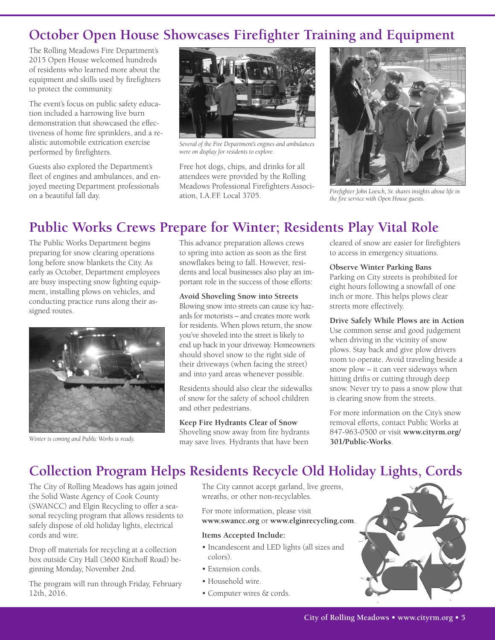#### **October Open House Showcases Firefighter Training and Equipment**

The Rolling Meadows Fire Department's 2015 Open House welcomed hundreds of residents who learned more about the equipment and skills used by firefighters to protect the community.

The event's focus on public safety education included a harrowing live burn demonstration that showcased the effectiveness of home fire sprinklers, and a realistic automobile extrication exercise performed by firefighters.

Guests also explored the Department's fleet of engines and ambulances, and enjoyed meeting Department professionals on a beautiful fall day.



*Several of the Fire Department's engines and ambulances were on display for residents to explore.*

Free hot dogs, chips, and drinks for all attendees were provided by the Rolling Meadows Professional Firefighters Association, I.A.F.F. Local 3705.



*Firefighter John Loesch, Sr. shares insights about life in the fire service with Open House guests.*

# **Public Works Crews Prepare for Winter; Residents Play Vital Role**

The Public Works Department begins preparing for snow clearing operations long before snow blankets the City. As early as October, Department employees are busy inspecting snow fighting equipment, installing plows on vehicles, and conducting practice runs along their assigned routes.



*Winter is coming and Public Works is ready.*

This advance preparation allows crews to spring into action as soon as the first snowflakes being to fall. However, residents and local businesses also play an important role in the success of those efforts:

**Avoid Shoveling Snow into Streets** Blowing snow into streets can cause icy hazards for motorists – and creates more work for residents. When plows return, the snow you've shoveled into the street is likely to end up back in your driveway. Homeowners should shovel snow to the right side of their driveways (when facing the street) and into yard areas whenever possible.

Residents should also clear the sidewalks of snow for the safety of school children and other pedestrians.

**Keep Fire Hydrants Clear of Snow** Shoveling snow away from fire hydrants may save lives. Hydrants that have been

cleared of snow are easier for firefighters to access in emergency situations.

**Observe Winter Parking Bans**

Parking on City streets is prohibited for eight hours following a snowfall of one inch or more. This helps plows clear streets more effectively.

**Drive Safely While Plows are in Action** Use common sense and good judgement when driving in the vicinity of snow plows. Stay back and give plow drivers room to operate. Avoid traveling beside a snow plow – it can veer sideways when hitting drifts or cutting through deep snow. Never try to pass a snow plow that is clearing snow from the streets.

For more information on the City's snow removal efforts, contact Public Works at 847-963-0500 or visit **www.cityrm.org/ 301/Public-Works**.

# **Collection Program Helps Residents Recycle Old Holiday Lights, Cords**

The City of Rolling Meadows has again joined the Solid Waste Agency of Cook County (SWANCC) and Elgin Recycling to offer a seasonal recycling program that allows residents to safely dispose of old holiday lights, electrical cords and wire.

Drop off materials for recycling at a collection box outside City Hall (3600 Kirchoff Road) beginning Monday, November 2nd.

The program will run through Friday, February 12th, 2016.

The City cannot accept garland, live greens, wreaths, or other non-recyclables.

For more information, please visit **www.swancc.org** or **www.elginrecycling.com**.

#### **Items Accepted Include:**

- Incandescent and LED lights (all sizes and colors).
- Extension cords.
- Household wire.
- Computer wires & cords.